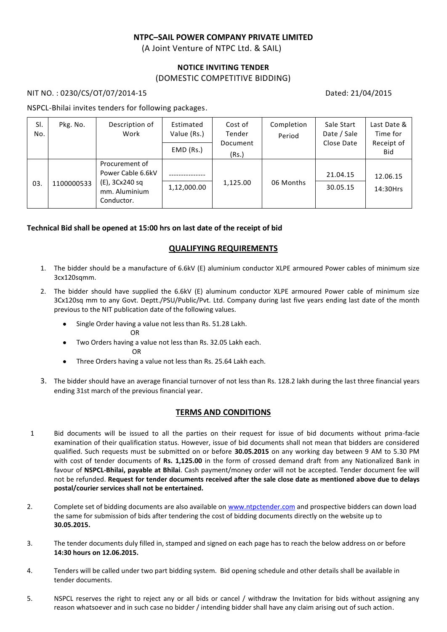# **NTPC–SAIL POWER COMPANY PRIVATE LIMITED**

(A Joint Venture of NTPC Ltd. & SAIL)

## **NOTICE INVITING TENDER** (DOMESTIC COMPETITIVE BIDDING)

#### NIT NO. : 0230/CS/OT/07/2014-15 Dated: 21/04/2015

#### NSPCL-Bhilai invites tenders for following packages.

| SI.<br>No. | Pkg. No.   | Description of<br>Work                                                               | Estimated<br>Value (Rs.) | Cost of<br>Tender | Completion<br>Period | Sale Start<br>Date / Sale | Last Date &<br>Time for |
|------------|------------|--------------------------------------------------------------------------------------|--------------------------|-------------------|----------------------|---------------------------|-------------------------|
|            |            |                                                                                      | $EMD$ (Rs.)              | Document<br>(Rs.) |                      | Close Date                | Receipt of<br>Bid       |
| 03.        | 1100000533 | Procurement of<br>Power Cable 6.6kV<br>(E), 3Cx240 sq<br>mm. Aluminium<br>Conductor. | 1,12,000.00              | 1,125.00          | 06 Months            | 21.04.15<br>30.05.15      | 12.06.15<br>14:30Hrs    |

## **Technical Bid shall be opened at 15:00 hrs on last date of the receipt of bid**

## **QUALIFYING REQUIREMENTS**

- 1. The bidder should be a manufacture of 6.6kV (E) aluminium conductor XLPE armoured Power cables of minimum size 3cx120sqmm.
- 2. The bidder should have supplied the 6.6kV (E) aluminum conductor XLPE armoured Power cable of minimum size 3Cx120sq mm to any Govt. Deptt./PSU/Public/Pvt. Ltd. Company during last five years ending last date of the month previous to the NIT publication date of the following values.
	- $\bullet$ Single Order having a value not less than Rs. 51.28 Lakh.
- **ORIGINAL CONTRACT CONTRACT CONTRACT CONTRACT CONTRACT CONTRACT CONTRACT CONTRACT CONTRACT CONTRACT CONTRACT CO**

**OR** Service Contract of the Service Contract of the Service Contract of the Service Contract of the Service Contract of the Service Contract of the Service Contract of the Service Contract of the Service Contract of the S

- Two Orders having a value not less than Rs. 32.05 Lakh each.  $\bullet$
- Three Orders having a value not less than Rs. 25.64 Lakh each.  $\bullet$
- 3. The bidder should have an average financial turnover of not less than Rs. 128.2 lakh during the last three financial years ending 31st march of the previous financial year.

## **TERMS AND CONDITIONS**

- 1 Bid documents will be issued to all the parties on their request for issue of bid documents without prima-facie examination of their qualification status. However, issue of bid documents shall not mean that bidders are considered qualified. Such requests must be submitted on or before **30.05.2015** on any working day between 9 AM to 5.30 PM with cost of tender documents of **Rs. 1,125.00** in the form of crossed demand draft from any Nationalized Bank in favour of **NSPCL-Bhilai, payable at Bhilai**. Cash payment/money order will not be accepted. Tender document fee will not be refunded. **Request for tender documents received after the sale close date as mentioned above due to delays postal/courier services shall not be entertained.**
- 2. Complete set of bidding documents are also available on [www.ntpctender.com](http://www.ntpctender.com/) and prospective bidders can down load the same for submission of bids after tendering the cost of bidding documents directly on the website up to **30.05.2015.**
- 3. The tender documents duly filled in, stamped and signed on each page has to reach the below address on or before **14:30 hours on 12.06.2015.**
- 4. Tenders will be called under two part bidding system. Bid opening schedule and other details shall be available in tender documents.
- 5. NSPCL reserves the right to reject any or all bids or cancel / withdraw the Invitation for bids without assigning any reason whatsoever and in such case no bidder / intending bidder shall have any claim arising out of such action.